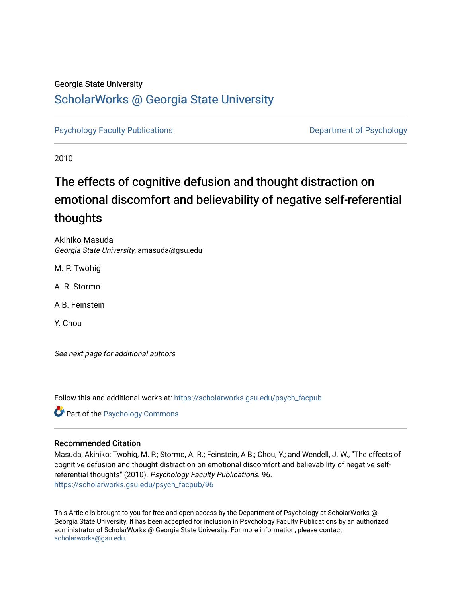# Georgia State University

# [ScholarWorks @ Georgia State University](https://scholarworks.gsu.edu/)

[Psychology Faculty Publications](https://scholarworks.gsu.edu/psych_facpub) **Department of Psychology** 

2010

# The effects of cognitive defusion and thought distraction on emotional discomfort and believability of negative self-referential thoughts

Akihiko Masuda Georgia State University, amasuda@gsu.edu

M. P. Twohig

A. R. Stormo

A B. Feinstein

Y. Chou

See next page for additional authors

Follow this and additional works at: [https://scholarworks.gsu.edu/psych\\_facpub](https://scholarworks.gsu.edu/psych_facpub?utm_source=scholarworks.gsu.edu%2Fpsych_facpub%2F96&utm_medium=PDF&utm_campaign=PDFCoverPages) 

**C** Part of the Psychology Commons

# Recommended Citation

Masuda, Akihiko; Twohig, M. P.; Stormo, A. R.; Feinstein, A B.; Chou, Y.; and Wendell, J. W., "The effects of cognitive defusion and thought distraction on emotional discomfort and believability of negative selfreferential thoughts" (2010). Psychology Faculty Publications. 96. [https://scholarworks.gsu.edu/psych\\_facpub/96](https://scholarworks.gsu.edu/psych_facpub/96?utm_source=scholarworks.gsu.edu%2Fpsych_facpub%2F96&utm_medium=PDF&utm_campaign=PDFCoverPages)

This Article is brought to you for free and open access by the Department of Psychology at ScholarWorks @ Georgia State University. It has been accepted for inclusion in Psychology Faculty Publications by an authorized administrator of ScholarWorks @ Georgia State University. For more information, please contact [scholarworks@gsu.edu.](mailto:scholarworks@gsu.edu)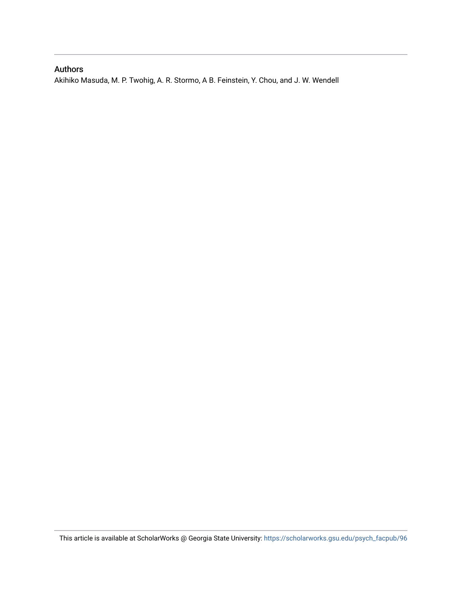# Authors

Akihiko Masuda, M. P. Twohig, A. R. Stormo, A B. Feinstein, Y. Chou, and J. W. Wendell

This article is available at ScholarWorks @ Georgia State University: [https://scholarworks.gsu.edu/psych\\_facpub/96](https://scholarworks.gsu.edu/psych_facpub/96)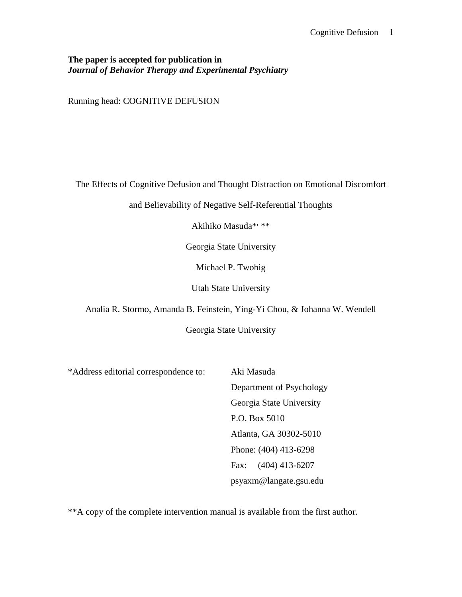# **The paper is accepted for publication in**  *Journal of Behavior Therapy and Experimental Psychiatry*

Running head: COGNITIVE DEFUSION

The Effects of Cognitive Defusion and Thought Distraction on Emotional Discomfort

and Believability of Negative Self-Referential Thoughts

Akihiko Masuda\*׳\*\*

Georgia State University

Michael P. Twohig

Utah State University

Analia R. Stormo, Amanda B. Feinstein, Ying-Yi Chou, & Johanna W. Wendell

Georgia State University

\*Address editorial correspondence to: Aki Masuda

Department of Psychology Georgia State University P.O. Box 5010 Atlanta, GA 30302-5010 Phone: (404) 413-6298 Fax: (404) 413-6207 *2TU*[psyaxm@langate.gsu.edu](mailto:psyaxm@langate.gsu.edu)*U2T*

\*\*A copy of the complete intervention manual is available from the first author.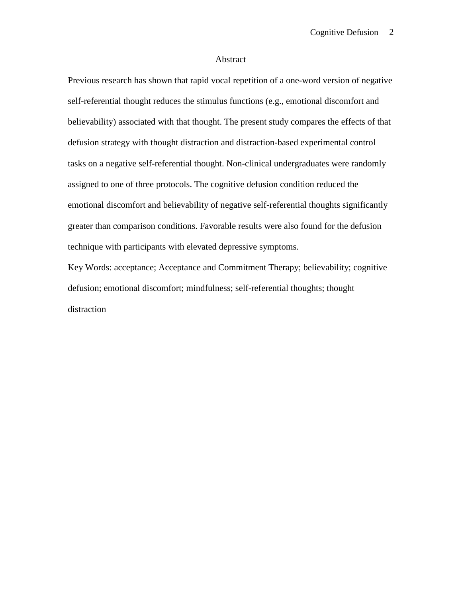#### Abstract

Previous research has shown that rapid vocal repetition of a one-word version of negative self-referential thought reduces the stimulus functions (e.g., emotional discomfort and believability) associated with that thought. The present study compares the effects of that defusion strategy with thought distraction and distraction-based experimental control tasks on a negative self-referential thought. Non-clinical undergraduates were randomly assigned to one of three protocols. The cognitive defusion condition reduced the emotional discomfort and believability of negative self-referential thoughts significantly greater than comparison conditions. Favorable results were also found for the defusion technique with participants with elevated depressive symptoms.

Key Words: acceptance; Acceptance and Commitment Therapy; believability; cognitive defusion; emotional discomfort; mindfulness; self-referential thoughts; thought distraction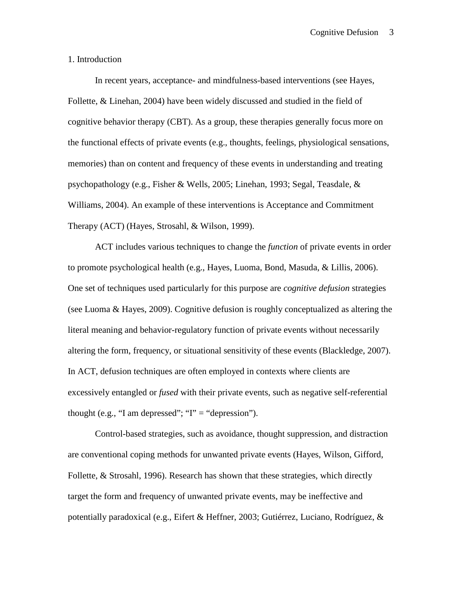1. Introduction

In recent years, acceptance- and mindfulness-based interventions (see Hayes, Follette, & Linehan, 2004) have been widely discussed and studied in the field of cognitive behavior therapy (CBT). As a group, these therapies generally focus more on the functional effects of private events (e.g., thoughts, feelings, physiological sensations, memories) than on content and frequency of these events in understanding and treating psychopathology (e.g., Fisher & Wells, 2005; Linehan, 1993; Segal, Teasdale, & Williams, 2004). An example of these interventions is Acceptance and Commitment Therapy (ACT) (Hayes, Strosahl, & Wilson, 1999).

ACT includes various techniques to change the *function* of private events in order to promote psychological health (e.g., Hayes, Luoma, Bond, Masuda, & Lillis, 2006). One set of techniques used particularly for this purpose are *cognitive defusion* strategies (see Luoma & Hayes, 2009). Cognitive defusion is roughly conceptualized as altering the literal meaning and behavior-regulatory function of private events without necessarily altering the form, frequency, or situational sensitivity of these events (Blackledge, 2007). In ACT, defusion techniques are often employed in contexts where clients are excessively entangled or *fused* with their private events, such as negative self-referential thought (e.g., "I am depressed"; " $I$ " = "depression").

Control-based strategies, such as avoidance, thought suppression, and distraction are conventional coping methods for unwanted private events (Hayes, Wilson, Gifford, Follette, & Strosahl, 1996). Research has shown that these strategies, which directly target the form and frequency of unwanted private events, may be ineffective and potentially paradoxical (e.g., Eifert & Heffner, 2003; Gutiérrez, Luciano, Rodríguez, &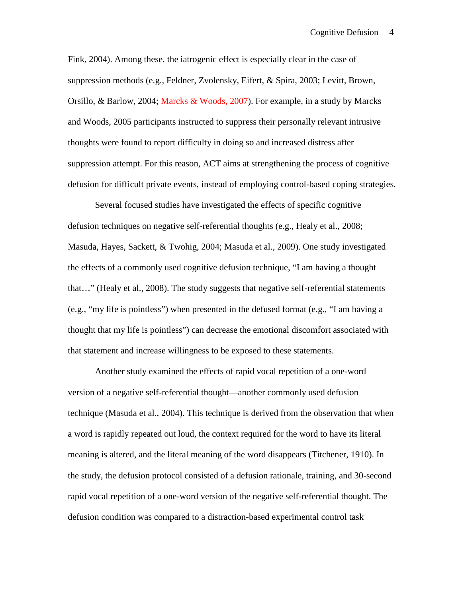Fink, 2004). Among these, the iatrogenic effect is especially clear in the case of suppression methods (e.g., Feldner, Zvolensky, Eifert, & Spira, 2003; Levitt, Brown, Orsillo, & Barlow, 2004; Marcks & Woods, 2007). For example, in a study by Marcks and Woods, 2005 participants instructed to suppress their personally relevant intrusive thoughts were found to report difficulty in doing so and increased distress after suppression attempt. For this reason, ACT aims at strengthening the process of cognitive defusion for difficult private events, instead of employing control-based coping strategies.

Several focused studies have investigated the effects of specific cognitive defusion techniques on negative self-referential thoughts (e.g., Healy et al., 2008; Masuda, Hayes, Sackett, & Twohig, 2004; Masuda et al., 2009). One study investigated the effects of a commonly used cognitive defusion technique, "I am having a thought that…" (Healy et al., 2008). The study suggests that negative self-referential statements (e.g., "my life is pointless") when presented in the defused format (e.g., "I am having a thought that my life is pointless") can decrease the emotional discomfort associated with that statement and increase willingness to be exposed to these statements.

Another study examined the effects of rapid vocal repetition of a one-word version of a negative self-referential thought—another commonly used defusion technique (Masuda et al., 2004). This technique is derived from the observation that when a word is rapidly repeated out loud, the context required for the word to have its literal meaning is altered, and the literal meaning of the word disappears (Titchener, 1910). In the study, the defusion protocol consisted of a defusion rationale, training, and 30-second rapid vocal repetition of a one-word version of the negative self-referential thought. The defusion condition was compared to a distraction-based experimental control task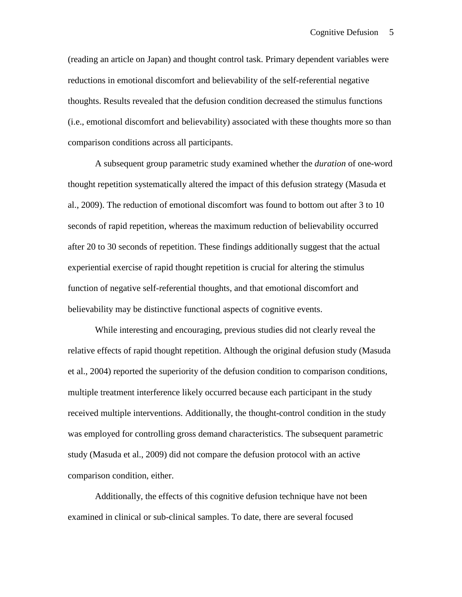(reading an article on Japan) and thought control task. Primary dependent variables were reductions in emotional discomfort and believability of the self-referential negative thoughts. Results revealed that the defusion condition decreased the stimulus functions (i.e., emotional discomfort and believability) associated with these thoughts more so than comparison conditions across all participants.

A subsequent group parametric study examined whether the *duration* of one-word thought repetition systematically altered the impact of this defusion strategy (Masuda et al., 2009). The reduction of emotional discomfort was found to bottom out after 3 to 10 seconds of rapid repetition, whereas the maximum reduction of believability occurred after 20 to 30 seconds of repetition. These findings additionally suggest that the actual experiential exercise of rapid thought repetition is crucial for altering the stimulus function of negative self-referential thoughts, and that emotional discomfort and believability may be distinctive functional aspects of cognitive events.

While interesting and encouraging, previous studies did not clearly reveal the relative effects of rapid thought repetition. Although the original defusion study (Masuda et al., 2004) reported the superiority of the defusion condition to comparison conditions, multiple treatment interference likely occurred because each participant in the study received multiple interventions. Additionally, the thought-control condition in the study was employed for controlling gross demand characteristics. The subsequent parametric study (Masuda et al., 2009) did not compare the defusion protocol with an active comparison condition, either.

Additionally, the effects of this cognitive defusion technique have not been examined in clinical or sub-clinical samples. To date, there are several focused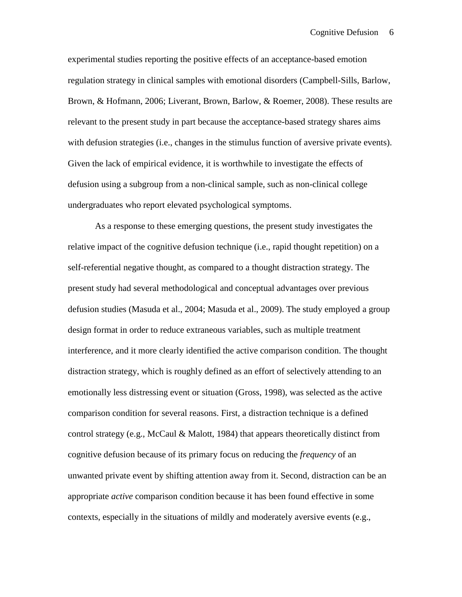experimental studies reporting the positive effects of an acceptance-based emotion regulation strategy in clinical samples with emotional disorders (Campbell-Sills, Barlow, Brown, & Hofmann, 2006; Liverant, Brown, Barlow, & Roemer, 2008). These results are relevant to the present study in part because the acceptance-based strategy shares aims with defusion strategies (i.e., changes in the stimulus function of aversive private events). Given the lack of empirical evidence, it is worthwhile to investigate the effects of defusion using a subgroup from a non-clinical sample, such as non-clinical college undergraduates who report elevated psychological symptoms.

As a response to these emerging questions, the present study investigates the relative impact of the cognitive defusion technique (i.e., rapid thought repetition) on a self-referential negative thought, as compared to a thought distraction strategy. The present study had several methodological and conceptual advantages over previous defusion studies (Masuda et al., 2004; Masuda et al., 2009). The study employed a group design format in order to reduce extraneous variables, such as multiple treatment interference, and it more clearly identified the active comparison condition. The thought distraction strategy, which is roughly defined as an effort of selectively attending to an emotionally less distressing event or situation (Gross, 1998), was selected as the active comparison condition for several reasons. First, a distraction technique is a defined control strategy (e.g., McCaul & Malott, 1984) that appears theoretically distinct from cognitive defusion because of its primary focus on reducing the *frequency* of an unwanted private event by shifting attention away from it. Second, distraction can be an appropriate *active* comparison condition because it has been found effective in some contexts, especially in the situations of mildly and moderately aversive events (e.g.,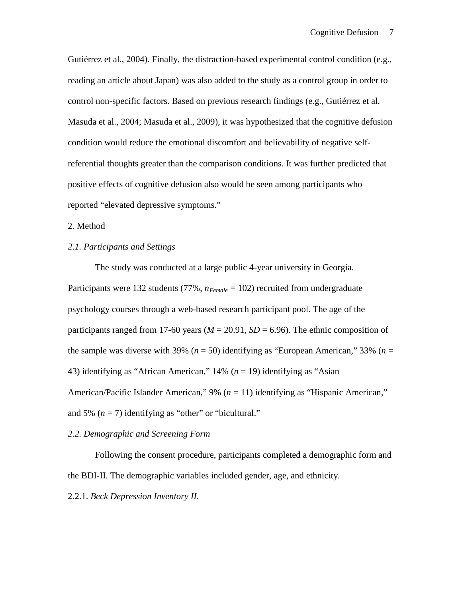Gutiérrez et al., 2004). Finally, the distraction-based experimental control condition (e.g., reading an article about Japan) was also added to the study as a control group in order to control non-specific factors. Based on previous research findings (e.g., Gutiérrez et al. Masuda et al., 2004; Masuda et al., 2009), it was hypothesized that the cognitive defusion condition would reduce the emotional discomfort and believability of negative selfreferential thoughts greater than the comparison conditions. It was further predicted that positive effects of cognitive defusion also would be seen among participants who reported "elevated depressive symptoms."

# 2. Method

# *2.1. Participants and Settings*

The study was conducted at a large public 4-year university in Georgia. Participants were 132 students (77%,  $n_{Female} = 102$ ) recruited from undergraduate psychology courses through a web-based research participant pool. The age of the participants ranged from 17-60 years ( $M = 20.91$ ,  $SD = 6.96$ ). The ethnic composition of the sample was diverse with 39% ( $n = 50$ ) identifying as "European American," 33% ( $n =$ 43) identifying as "African American," 14% (*n* = 19) identifying as "Asian American/Pacific Islander American," 9% (*n* = 11) identifying as "Hispanic American," and 5%  $(n = 7)$  identifying as "other" or "bicultural."

#### *2.2. Demographic and Screening Form*

Following the consent procedure, participants completed a demographic form and the BDI-II. The demographic variables included gender, age, and ethnicity.

2.2.1. *Beck Depression Inventory II*.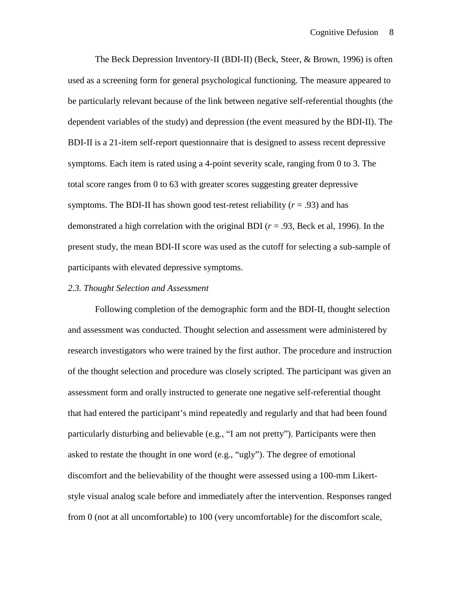The Beck Depression Inventory-II (BDI-II) (Beck, Steer, & Brown, 1996) is often used as a screening form for general psychological functioning. The measure appeared to be particularly relevant because of the link between negative self-referential thoughts (the dependent variables of the study) and depression (the event measured by the BDI-II). The BDI-II is a 21-item self-report questionnaire that is designed to assess recent depressive symptoms. Each item is rated using a 4-point severity scale, ranging from 0 to 3. The total score ranges from 0 to 63 with greater scores suggesting greater depressive symptoms. The BDI-II has shown good test-retest reliability  $(r = .93)$  and has demonstrated a high correlation with the original BDI (*r* = .93, Beck et al, 1996). In the present study, the mean BDI-II score was used as the cutoff for selecting a sub-sample of participants with elevated depressive symptoms.

#### *2.3. Thought Selection and Assessment*

Following completion of the demographic form and the BDI-II, thought selection and assessment was conducted. Thought selection and assessment were administered by research investigators who were trained by the first author. The procedure and instruction of the thought selection and procedure was closely scripted. The participant was given an assessment form and orally instructed to generate one negative self-referential thought that had entered the participant's mind repeatedly and regularly and that had been found particularly disturbing and believable (e.g., "I am not pretty"). Participants were then asked to restate the thought in one word (e.g., "ugly"). The degree of emotional discomfort and the believability of the thought were assessed using a 100-mm Likertstyle visual analog scale before and immediately after the intervention. Responses ranged from 0 (not at all uncomfortable) to 100 (very uncomfortable) for the discomfort scale,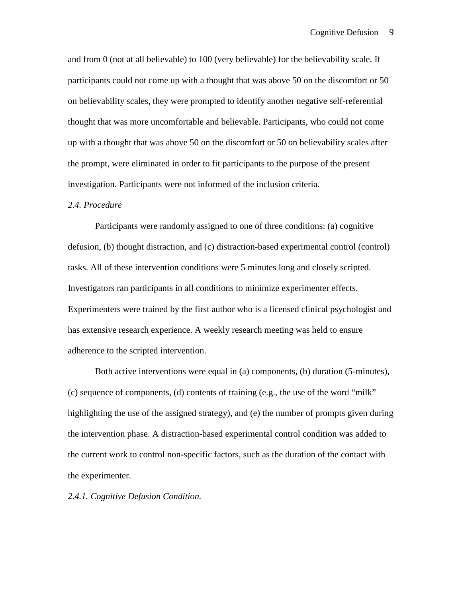and from 0 (not at all believable) to 100 (very believable) for the believability scale. If participants could not come up with a thought that was above 50 on the discomfort or 50 on believability scales, they were prompted to identify another negative self-referential thought that was more uncomfortable and believable. Participants, who could not come up with a thought that was above 50 on the discomfort or 50 on believability scales after the prompt, were eliminated in order to fit participants to the purpose of the present investigation. Participants were not informed of the inclusion criteria.

#### *2.4. Procedure*

Participants were randomly assigned to one of three conditions: (a) cognitive defusion, (b) thought distraction, and (c) distraction-based experimental control (control) tasks. All of these intervention conditions were 5 minutes long and closely scripted. Investigators ran participants in all conditions to minimize experimenter effects. Experimenters were trained by the first author who is a licensed clinical psychologist and has extensive research experience. A weekly research meeting was held to ensure adherence to the scripted intervention.

Both active interventions were equal in (a) components, (b) duration (5-minutes), (c) sequence of components, (d) contents of training (e.g., the use of the word "milk" highlighting the use of the assigned strategy), and (e) the number of prompts given during the intervention phase. A distraction-based experimental control condition was added to the current work to control non-specific factors, such as the duration of the contact with the experimenter.

*2.4.1. Cognitive Defusion Condition.*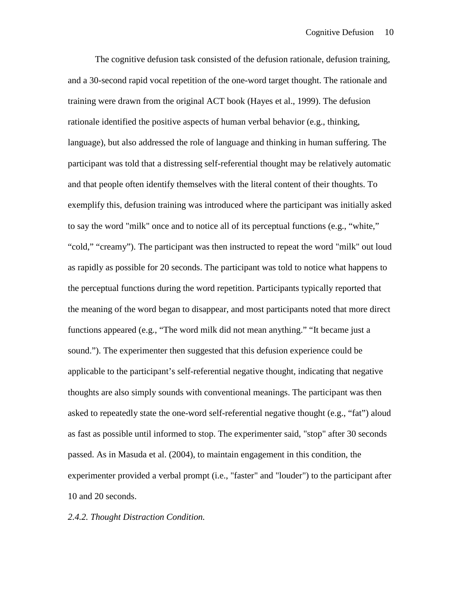The cognitive defusion task consisted of the defusion rationale, defusion training, and a 30-second rapid vocal repetition of the one-word target thought. The rationale and training were drawn from the original ACT book (Hayes et al., 1999). The defusion rationale identified the positive aspects of human verbal behavior (e.g., thinking, language), but also addressed the role of language and thinking in human suffering. The participant was told that a distressing self-referential thought may be relatively automatic and that people often identify themselves with the literal content of their thoughts. To exemplify this, defusion training was introduced where the participant was initially asked to say the word "milk" once and to notice all of its perceptual functions (e.g., "white," "cold," "creamy"). The participant was then instructed to repeat the word "milk" out loud as rapidly as possible for 20 seconds. The participant was told to notice what happens to the perceptual functions during the word repetition. Participants typically reported that the meaning of the word began to disappear, and most participants noted that more direct functions appeared (e.g., "The word milk did not mean anything." "It became just a sound."). The experimenter then suggested that this defusion experience could be applicable to the participant's self-referential negative thought, indicating that negative thoughts are also simply sounds with conventional meanings. The participant was then asked to repeatedly state the one-word self-referential negative thought (e.g., "fat") aloud as fast as possible until informed to stop. The experimenter said, "stop" after 30 seconds passed. As in Masuda et al. (2004), to maintain engagement in this condition, the experimenter provided a verbal prompt (i.e., "faster" and "louder") to the participant after 10 and 20 seconds.

#### *2.4.2. Thought Distraction Condition.*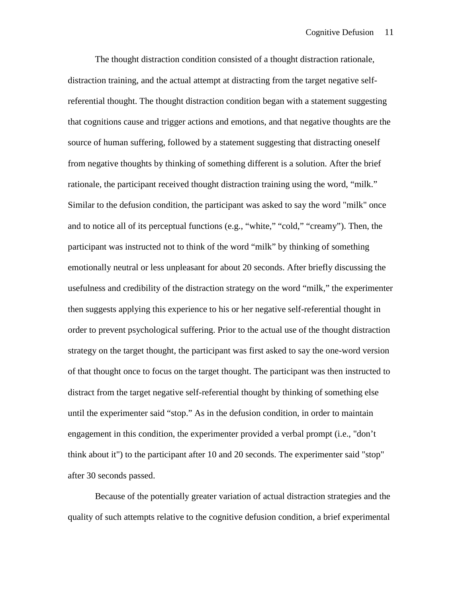The thought distraction condition consisted of a thought distraction rationale, distraction training, and the actual attempt at distracting from the target negative selfreferential thought. The thought distraction condition began with a statement suggesting that cognitions cause and trigger actions and emotions, and that negative thoughts are the source of human suffering, followed by a statement suggesting that distracting oneself from negative thoughts by thinking of something different is a solution. After the brief rationale, the participant received thought distraction training using the word, "milk." Similar to the defusion condition, the participant was asked to say the word "milk" once and to notice all of its perceptual functions (e.g., "white," "cold," "creamy"). Then, the participant was instructed not to think of the word "milk" by thinking of something emotionally neutral or less unpleasant for about 20 seconds. After briefly discussing the usefulness and credibility of the distraction strategy on the word "milk," the experimenter then suggests applying this experience to his or her negative self-referential thought in order to prevent psychological suffering. Prior to the actual use of the thought distraction strategy on the target thought, the participant was first asked to say the one-word version of that thought once to focus on the target thought. The participant was then instructed to distract from the target negative self-referential thought by thinking of something else until the experimenter said "stop." As in the defusion condition, in order to maintain engagement in this condition, the experimenter provided a verbal prompt (i.e., "don't think about it") to the participant after 10 and 20 seconds. The experimenter said "stop" after 30 seconds passed.

Because of the potentially greater variation of actual distraction strategies and the quality of such attempts relative to the cognitive defusion condition, a brief experimental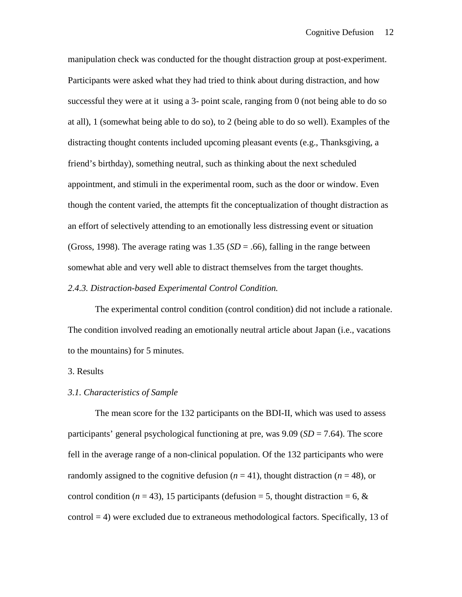manipulation check was conducted for the thought distraction group at post-experiment. Participants were asked what they had tried to think about during distraction, and how successful they were at it using a 3- point scale, ranging from 0 (not being able to do so at all), 1 (somewhat being able to do so), to 2 (being able to do so well). Examples of the distracting thought contents included upcoming pleasant events (e.g., Thanksgiving, a friend's birthday), something neutral, such as thinking about the next scheduled appointment, and stimuli in the experimental room, such as the door or window. Even though the content varied, the attempts fit the conceptualization of thought distraction as an effort of selectively attending to an emotionally less distressing event or situation (Gross, 1998). The average rating was  $1.35$  ( $SD = .66$ ), falling in the range between somewhat able and very well able to distract themselves from the target thoughts.

#### *2.4.3. Distraction-based Experimental Control Condition.*

The experimental control condition (control condition) did not include a rationale. The condition involved reading an emotionally neutral article about Japan (i.e., vacations to the mountains) for 5 minutes.

# 3. Results

#### *3.1. Characteristics of Sample*

The mean score for the 132 participants on the BDI-II, which was used to assess participants' general psychological functioning at pre, was  $9.09$  (*SD* = 7.64). The score fell in the average range of a non-clinical population. Of the 132 participants who were randomly assigned to the cognitive defusion  $(n = 41)$ , thought distraction  $(n = 48)$ , or control condition ( $n = 43$ ), 15 participants (defusion = 5, thought distraction = 6,  $\&$ control = 4) were excluded due to extraneous methodological factors. Specifically, 13 of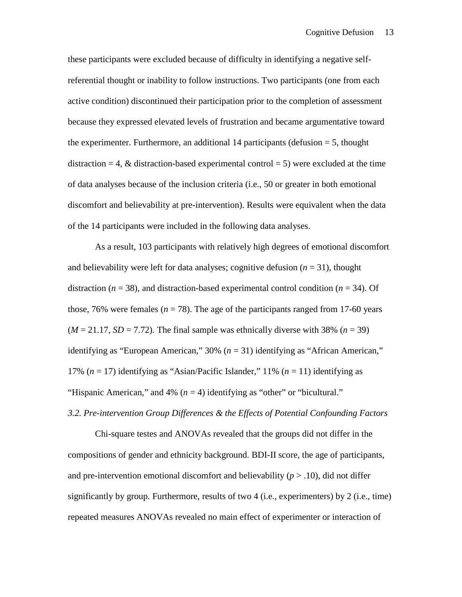these participants were excluded because of difficulty in identifying a negative selfreferential thought or inability to follow instructions. Two participants (one from each active condition) discontinued their participation prior to the completion of assessment because they expressed elevated levels of frustration and became argumentative toward the experimenter. Furthermore, an additional 14 participants (defusion  $=$  5, thought distraction = 4,  $\&$  distraction-based experimental control = 5) were excluded at the time of data analyses because of the inclusion criteria (i.e., 50 or greater in both emotional discomfort and believability at pre-intervention). Results were equivalent when the data of the 14 participants were included in the following data analyses.

As a result, 103 participants with relatively high degrees of emotional discomfort and believability were left for data analyses; cognitive defusion  $(n = 31)$ , thought distraction (*n* = 38), and distraction-based experimental control condition (*n* = 34). Of those, 76% were females ( $n = 78$ ). The age of the participants ranged from 17-60 years  $(M = 21.17, SD = 7.72)$ . The final sample was ethnically diverse with 38%  $(n = 39)$ identifying as "European American," 30% (*n* = 31) identifying as "African American," 17% (*n* = 17) identifying as "Asian/Pacific Islander," 11% (*n* = 11) identifying as "Hispanic American," and 4%  $(n = 4)$  identifying as "other" or "bicultural."

# *3.2. Pre-intervention Group Differences & the Effects of Potential Confounding Factors*

Chi-square testes and ANOVAs revealed that the groups did not differ in the compositions of gender and ethnicity background. BDI-II score, the age of participants, and pre-intervention emotional discomfort and believability  $(p > .10)$ , did not differ significantly by group. Furthermore, results of two 4 (i.e., experimenters) by 2 (i.e., time) repeated measures ANOVAs revealed no main effect of experimenter or interaction of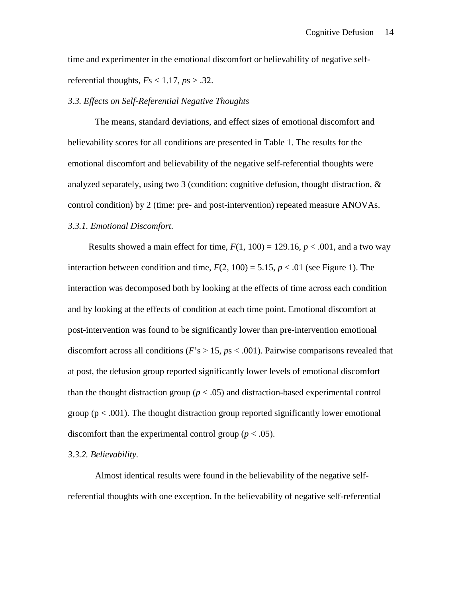time and experimenter in the emotional discomfort or believability of negative selfreferential thoughts,  $Fs < 1.17$ ,  $ps > .32$ .

### *3.3. Effects on Self-Referential Negative Thoughts*

The means, standard deviations, and effect sizes of emotional discomfort and believability scores for all conditions are presented in Table 1. The results for the emotional discomfort and believability of the negative self-referential thoughts were analyzed separately, using two 3 (condition: cognitive defusion, thought distraction, & control condition) by 2 (time: pre- and post-intervention) repeated measure ANOVAs. *3.3.1. Emotional Discomfort.* 

Results showed a main effect for time,  $F(1, 100) = 129.16$ ,  $p < .001$ , and a two way interaction between condition and time,  $F(2, 100) = 5.15$ ,  $p < .01$  (see Figure 1). The interaction was decomposed both by looking at the effects of time across each condition and by looking at the effects of condition at each time point. Emotional discomfort at post-intervention was found to be significantly lower than pre-intervention emotional discomfort across all conditions (*F*'s > 15, *p*s < .001). Pairwise comparisons revealed that at post, the defusion group reported significantly lower levels of emotional discomfort than the thought distraction group ( $p < .05$ ) and distraction-based experimental control group ( $p < .001$ ). The thought distraction group reported significantly lower emotional discomfort than the experimental control group ( $p < .05$ ).

# *3.3.2. Believability.*

Almost identical results were found in the believability of the negative selfreferential thoughts with one exception. In the believability of negative self-referential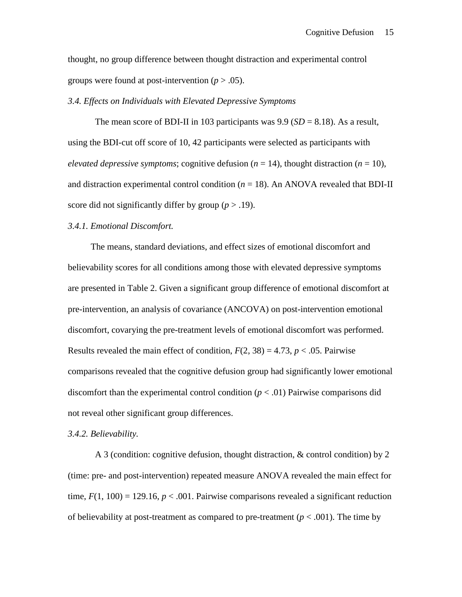thought, no group difference between thought distraction and experimental control groups were found at post-intervention  $(p > .05)$ .

#### *3.4. Effects on Individuals with Elevated Depressive Symptoms*

The mean score of BDI-II in 103 participants was  $9.9$  (*SD* = 8.18). As a result, using the BDI-cut off score of 10, 42 participants were selected as participants with *elevated depressive symptoms*; cognitive defusion ( $n = 14$ ), thought distraction ( $n = 10$ ), and distraction experimental control condition  $(n = 18)$ . An ANOVA revealed that BDI-II score did not significantly differ by group  $(p > .19)$ .

# *3.4.1. Emotional Discomfort.*

The means, standard deviations, and effect sizes of emotional discomfort and believability scores for all conditions among those with elevated depressive symptoms are presented in Table 2. Given a significant group difference of emotional discomfort at pre-intervention, an analysis of covariance (ANCOVA) on post-intervention emotional discomfort, covarying the pre-treatment levels of emotional discomfort was performed. Results revealed the main effect of condition,  $F(2, 38) = 4.73$ ,  $p < .05$ . Pairwise comparisons revealed that the cognitive defusion group had significantly lower emotional discomfort than the experimental control condition  $(p < .01)$  Pairwise comparisons did not reveal other significant group differences.

#### *3.4.2. Believability.*

A 3 (condition: cognitive defusion, thought distraction, & control condition) by 2 (time: pre- and post-intervention) repeated measure ANOVA revealed the main effect for time,  $F(1, 100) = 129.16$ ,  $p < .001$ . Pairwise comparisons revealed a significant reduction of believability at post-treatment as compared to pre-treatment  $(p < .001)$ . The time by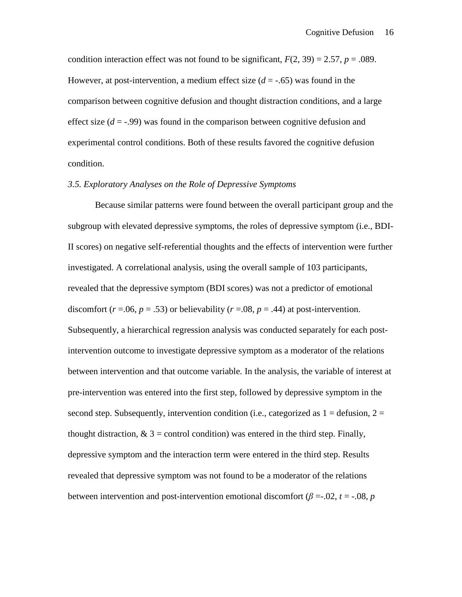condition interaction effect was not found to be significant,  $F(2, 39) = 2.57$ ,  $p = .089$ . However, at post-intervention, a medium effect size  $(d = -0.65)$  was found in the comparison between cognitive defusion and thought distraction conditions, and a large effect size  $(d = -0.99)$  was found in the comparison between cognitive defusion and experimental control conditions. Both of these results favored the cognitive defusion condition.

# *3.5. Exploratory Analyses on the Role of Depressive Symptoms*

Because similar patterns were found between the overall participant group and the subgroup with elevated depressive symptoms, the roles of depressive symptom (i.e., BDI-II scores) on negative self-referential thoughts and the effects of intervention were further investigated. A correlational analysis, using the overall sample of 103 participants, revealed that the depressive symptom (BDI scores) was not a predictor of emotional discomfort ( $r = .06$ ,  $p = .53$ ) or believability ( $r = .08$ ,  $p = .44$ ) at post-intervention. Subsequently, a hierarchical regression analysis was conducted separately for each postintervention outcome to investigate depressive symptom as a moderator of the relations between intervention and that outcome variable. In the analysis, the variable of interest at pre-intervention was entered into the first step, followed by depressive symptom in the second step. Subsequently, intervention condition (i.e., categorized as  $1 =$  defusion,  $2 =$ thought distraction,  $\& 3 =$  control condition) was entered in the third step. Finally, depressive symptom and the interaction term were entered in the third step. Results revealed that depressive symptom was not found to be a moderator of the relations between intervention and post-intervention emotional discomfort ( $\beta = 0.02$ ,  $t = -0.08$ ,  $p = 0.08$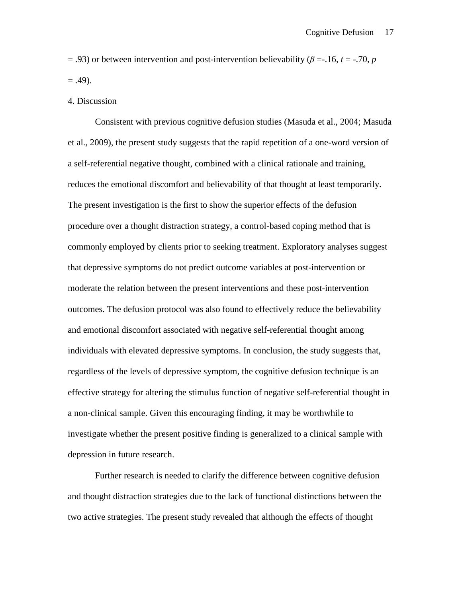$=$  .93) or between intervention and post-intervention believability ( $\beta = -16$ ,  $t = -70$ ,  $p = 0$  $= .49$ ).

#### 4. Discussion

Consistent with previous cognitive defusion studies (Masuda et al., 2004; Masuda et al., 2009), the present study suggests that the rapid repetition of a one-word version of a self-referential negative thought, combined with a clinical rationale and training, reduces the emotional discomfort and believability of that thought at least temporarily. The present investigation is the first to show the superior effects of the defusion procedure over a thought distraction strategy, a control-based coping method that is commonly employed by clients prior to seeking treatment. Exploratory analyses suggest that depressive symptoms do not predict outcome variables at post-intervention or moderate the relation between the present interventions and these post-intervention outcomes. The defusion protocol was also found to effectively reduce the believability and emotional discomfort associated with negative self-referential thought among individuals with elevated depressive symptoms. In conclusion, the study suggests that, regardless of the levels of depressive symptom, the cognitive defusion technique is an effective strategy for altering the stimulus function of negative self-referential thought in a non-clinical sample. Given this encouraging finding, it may be worthwhile to investigate whether the present positive finding is generalized to a clinical sample with depression in future research.

Further research is needed to clarify the difference between cognitive defusion and thought distraction strategies due to the lack of functional distinctions between the two active strategies. The present study revealed that although the effects of thought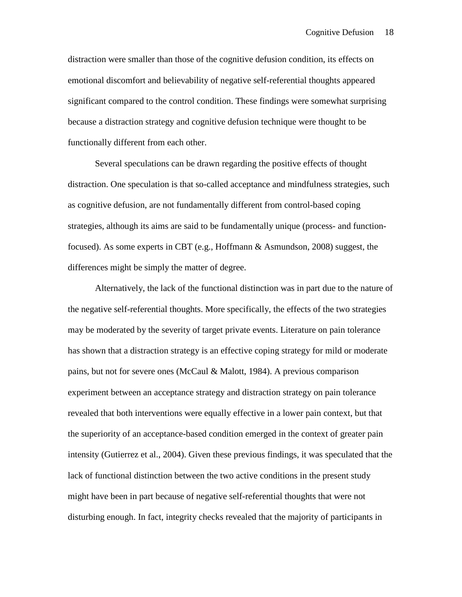distraction were smaller than those of the cognitive defusion condition, its effects on emotional discomfort and believability of negative self-referential thoughts appeared significant compared to the control condition. These findings were somewhat surprising because a distraction strategy and cognitive defusion technique were thought to be functionally different from each other.

Several speculations can be drawn regarding the positive effects of thought distraction. One speculation is that so-called acceptance and mindfulness strategies, such as cognitive defusion, are not fundamentally different from control-based coping strategies, although its aims are said to be fundamentally unique (process- and functionfocused). As some experts in CBT (e.g., Hoffmann & Asmundson, 2008) suggest, the differences might be simply the matter of degree.

Alternatively, the lack of the functional distinction was in part due to the nature of the negative self-referential thoughts. More specifically, the effects of the two strategies may be moderated by the severity of target private events. Literature on pain tolerance has shown that a distraction strategy is an effective coping strategy for mild or moderate pains, but not for severe ones (McCaul & Malott, 1984). A previous comparison experiment between an acceptance strategy and distraction strategy on pain tolerance revealed that both interventions were equally effective in a lower pain context, but that the superiority of an acceptance-based condition emerged in the context of greater pain intensity (Gutierrez et al., 2004). Given these previous findings, it was speculated that the lack of functional distinction between the two active conditions in the present study might have been in part because of negative self-referential thoughts that were not disturbing enough. In fact, integrity checks revealed that the majority of participants in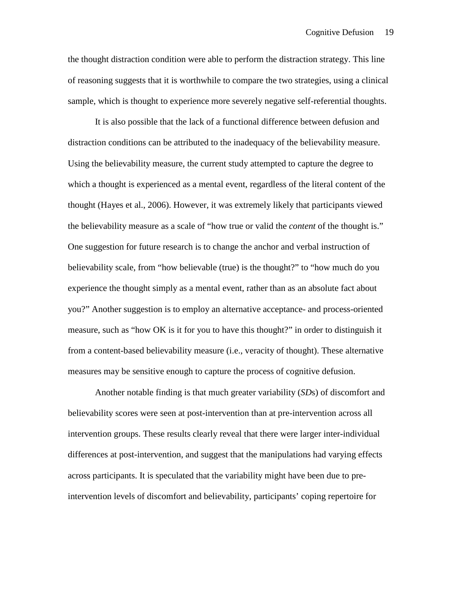the thought distraction condition were able to perform the distraction strategy. This line of reasoning suggests that it is worthwhile to compare the two strategies, using a clinical sample, which is thought to experience more severely negative self-referential thoughts.

It is also possible that the lack of a functional difference between defusion and distraction conditions can be attributed to the inadequacy of the believability measure. Using the believability measure, the current study attempted to capture the degree to which a thought is experienced as a mental event, regardless of the literal content of the thought (Hayes et al., 2006). However, it was extremely likely that participants viewed the believability measure as a scale of "how true or valid the *content* of the thought is." One suggestion for future research is to change the anchor and verbal instruction of believability scale, from "how believable (true) is the thought?" to "how much do you experience the thought simply as a mental event, rather than as an absolute fact about you?" Another suggestion is to employ an alternative acceptance- and process-oriented measure, such as "how OK is it for you to have this thought?" in order to distinguish it from a content-based believability measure (i.e., veracity of thought). These alternative measures may be sensitive enough to capture the process of cognitive defusion.

Another notable finding is that much greater variability (*SD*s) of discomfort and believability scores were seen at post-intervention than at pre-intervention across all intervention groups. These results clearly reveal that there were larger inter-individual differences at post-intervention, and suggest that the manipulations had varying effects across participants. It is speculated that the variability might have been due to preintervention levels of discomfort and believability, participants' coping repertoire for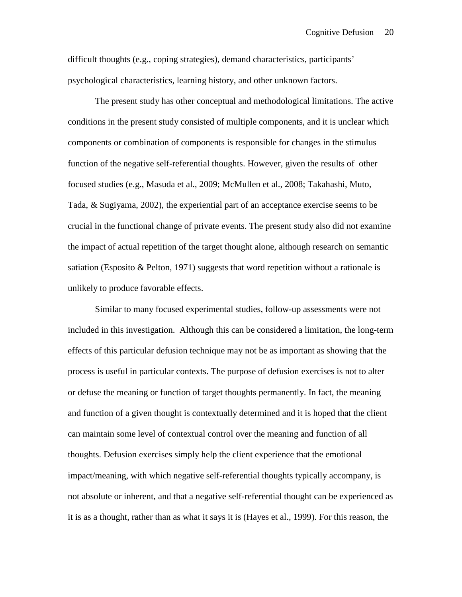difficult thoughts (e.g., coping strategies), demand characteristics, participants' psychological characteristics, learning history, and other unknown factors.

The present study has other conceptual and methodological limitations. The active conditions in the present study consisted of multiple components, and it is unclear which components or combination of components is responsible for changes in the stimulus function of the negative self-referential thoughts. However, given the results of other focused studies (e.g., Masuda et al., 2009; McMullen et al., 2008; Takahashi, Muto, Tada, & Sugiyama, 2002), the experiential part of an acceptance exercise seems to be crucial in the functional change of private events. The present study also did not examine the impact of actual repetition of the target thought alone, although research on semantic satiation (Esposito & Pelton, 1971) suggests that word repetition without a rationale is unlikely to produce favorable effects.

Similar to many focused experimental studies, follow-up assessments were not included in this investigation. Although this can be considered a limitation, the long-term effects of this particular defusion technique may not be as important as showing that the process is useful in particular contexts. The purpose of defusion exercises is not to alter or defuse the meaning or function of target thoughts permanently. In fact, the meaning and function of a given thought is contextually determined and it is hoped that the client can maintain some level of contextual control over the meaning and function of all thoughts. Defusion exercises simply help the client experience that the emotional impact/meaning, with which negative self-referential thoughts typically accompany, is not absolute or inherent, and that a negative self-referential thought can be experienced as it is as a thought, rather than as what it says it is (Hayes et al., 1999). For this reason, the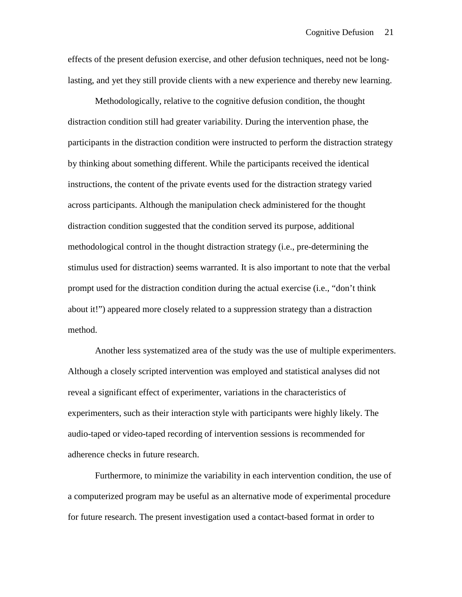effects of the present defusion exercise, and other defusion techniques, need not be longlasting, and yet they still provide clients with a new experience and thereby new learning.

Methodologically, relative to the cognitive defusion condition, the thought distraction condition still had greater variability. During the intervention phase, the participants in the distraction condition were instructed to perform the distraction strategy by thinking about something different. While the participants received the identical instructions, the content of the private events used for the distraction strategy varied across participants. Although the manipulation check administered for the thought distraction condition suggested that the condition served its purpose, additional methodological control in the thought distraction strategy (i.e., pre-determining the stimulus used for distraction) seems warranted. It is also important to note that the verbal prompt used for the distraction condition during the actual exercise (i.e., "don't think about it!") appeared more closely related to a suppression strategy than a distraction method.

Another less systematized area of the study was the use of multiple experimenters. Although a closely scripted intervention was employed and statistical analyses did not reveal a significant effect of experimenter, variations in the characteristics of experimenters, such as their interaction style with participants were highly likely. The audio-taped or video-taped recording of intervention sessions is recommended for adherence checks in future research.

Furthermore, to minimize the variability in each intervention condition, the use of a computerized program may be useful as an alternative mode of experimental procedure for future research. The present investigation used a contact-based format in order to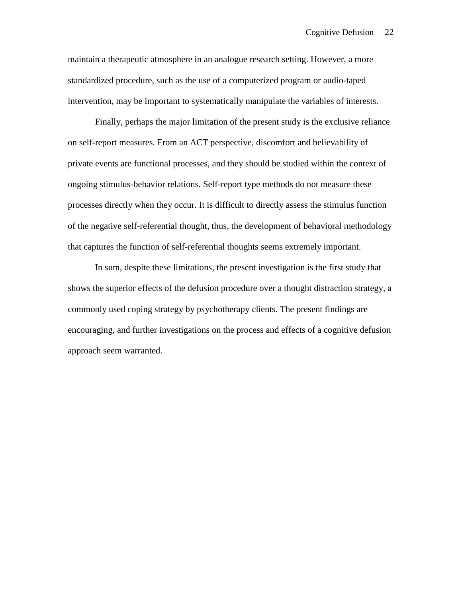maintain a therapeutic atmosphere in an analogue research setting. However, a more standardized procedure, such as the use of a computerized program or audio-taped intervention, may be important to systematically manipulate the variables of interests.

Finally, perhaps the major limitation of the present study is the exclusive reliance on self-report measures. From an ACT perspective, discomfort and believability of private events are functional processes, and they should be studied within the context of ongoing stimulus-behavior relations. Self-report type methods do not measure these processes directly when they occur. It is difficult to directly assess the stimulus function of the negative self-referential thought, thus, the development of behavioral methodology that captures the function of self-referential thoughts seems extremely important.

In sum, despite these limitations, the present investigation is the first study that shows the superior effects of the defusion procedure over a thought distraction strategy, a commonly used coping strategy by psychotherapy clients. The present findings are encouraging, and further investigations on the process and effects of a cognitive defusion approach seem warranted.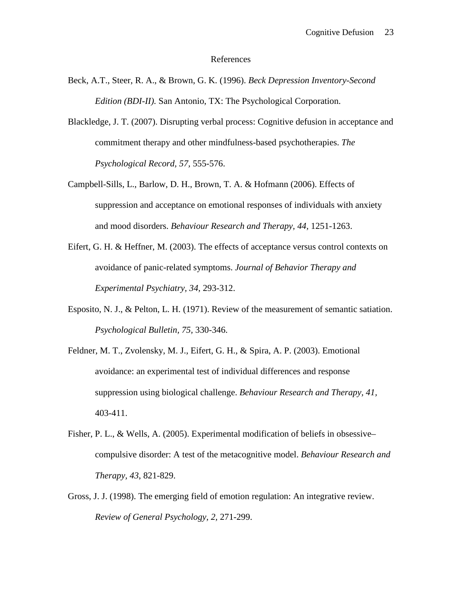#### References

- Beck, A.T., Steer, R. A., & Brown, G. K. (1996). *Beck Depression Inventory-Second Edition (BDI-II).* San Antonio, TX: The Psychological Corporation.
- Blackledge, J. T. (2007). Disrupting verbal process: Cognitive defusion in acceptance and commitment therapy and other mindfulness-based psychotherapies. *The Psychological Record, 57,* 555-576.
- Campbell-Sills, L., Barlow, D. H., Brown, T. A. & Hofmann (2006). Effects of suppression and acceptance on emotional responses of individuals with anxiety and mood disorders. *Behaviour Research and Therapy, 44,* 1251-1263.
- Eifert, G. H. & Heffner, M. (2003). The effects of acceptance versus control contexts on avoidance of panic-related symptoms. *Journal of Behavior Therapy and Experimental Psychiatry, 34,* 293-312.
- Esposito, N. J., & Pelton, L. H. (1971). Review of the measurement of semantic satiation. *Psychological Bulletin, 75,* 330-346.
- Feldner, M. T., Zvolensky, M. J., Eifert, G. H., & Spira, A. P. (2003). Emotional avoidance: an experimental test of individual differences and response suppression using biological challenge. *Behaviour Research and Therapy, 41,* 403-411.
- Fisher, P. L., & Wells, A. (2005). Experimental modification of beliefs in obsessive– compulsive disorder: A test of the metacognitive model. *Behaviour Research and Therapy, 43*, 821-829.
- Gross, J. J. (1998). The emerging field of emotion regulation: An integrative review. *Review of General Psychology, 2,* 271-299.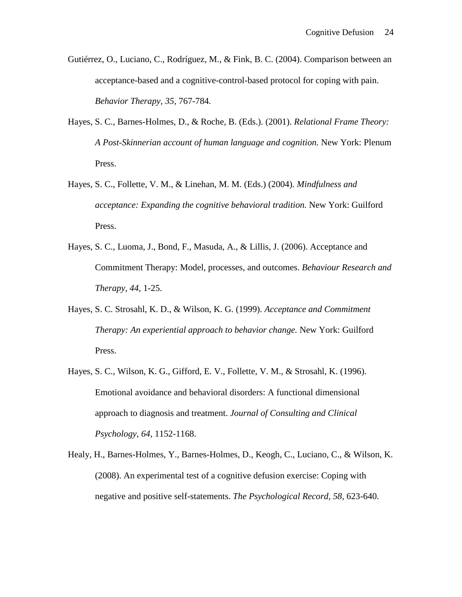- Gutiérrez, O., Luciano, C., Rodríguez, M., & Fink, B. C. (2004). Comparison between an acceptance-based and a cognitive-control-based protocol for coping with pain. *Behavior Therapy, 35,* 767-784*.*
- Hayes, S. C., Barnes-Holmes, D., & Roche, B. (Eds.). (2001). *Relational Frame Theory: A Post-Skinnerian account of human language and cognition.* New York: Plenum Press.
- Hayes, S. C., Follette, V. M., & Linehan, M. M. (Eds.) (2004). *Mindfulness and acceptance: Expanding the cognitive behavioral tradition.* New York: Guilford Press.
- Hayes, S. C., Luoma, J., Bond, F., Masuda, A., & Lillis, J. (2006). Acceptance and Commitment Therapy: Model, processes, and outcomes. *Behaviour Research and Therapy, 44,* 1-25.
- Hayes, S. C. Strosahl, K. D., & Wilson, K. G. (1999). *Acceptance and Commitment Therapy: An experiential approach to behavior change.* New York: Guilford Press.
- Hayes, S. C., Wilson, K. G., Gifford, E. V., Follette, V. M., & Strosahl, K. (1996). Emotional avoidance and behavioral disorders: A functional dimensional approach to diagnosis and treatment. *Journal of Consulting and Clinical Psychology, 64,* 1152-1168.
- Healy, H., Barnes-Holmes, Y., Barnes-Holmes, D., Keogh, C., Luciano, C., & Wilson, K. (2008). An experimental test of a cognitive defusion exercise: Coping with negative and positive self-statements. *The Psychological Record, 58,* 623-640.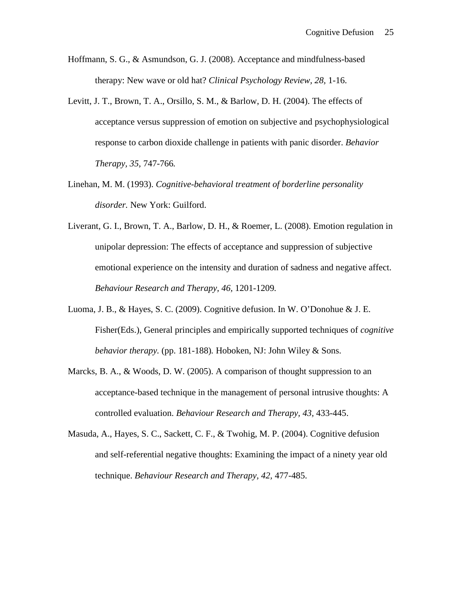- Hoffmann, S. G., & Asmundson, G. J. (2008). Acceptance and mindfulness-based therapy: New wave or old hat? *Clinical Psychology Review, 28,* 1-16.
- Levitt, J. T., Brown, T. A., Orsillo, S. M., & Barlow, D. H. (2004). The effects of acceptance versus suppression of emotion on subjective and psychophysiological response to carbon dioxide challenge in patients with panic disorder. *Behavior Therapy, 35,* 747-766*.*
- Linehan, M. M. (1993). *Cognitive-behavioral treatment of borderline personality disorder.* New York: Guilford.
- Liverant, G. I., Brown, T. A., Barlow, D. H., & Roemer, L. (2008). Emotion regulation in unipolar depression: The effects of acceptance and suppression of subjective emotional experience on the intensity and duration of sadness and negative affect. *Behaviour Research and Therapy, 46,* 1201-1209*.*
- Luoma, J. B., & Hayes, S. C. (2009). Cognitive defusion. In W. O'Donohue & J. E. Fisher(Eds.), General principles and empirically supported techniques of *cognitive behavior therapy.* (pp. 181-188)*.* Hoboken, NJ: John Wiley & Sons.
- Marcks, B. A., & Woods, D. W. (2005). A comparison of thought suppression to an acceptance-based technique in the management of personal intrusive thoughts: A controlled evaluation. *Behaviour Research and Therapy, 43,* 433-445.
- Masuda, A., Hayes, S. C., Sackett, C. F., & Twohig, M. P. (2004). Cognitive defusion and self-referential negative thoughts: Examining the impact of a ninety year old technique. *Behaviour Research and Therapy, 42,* 477-485.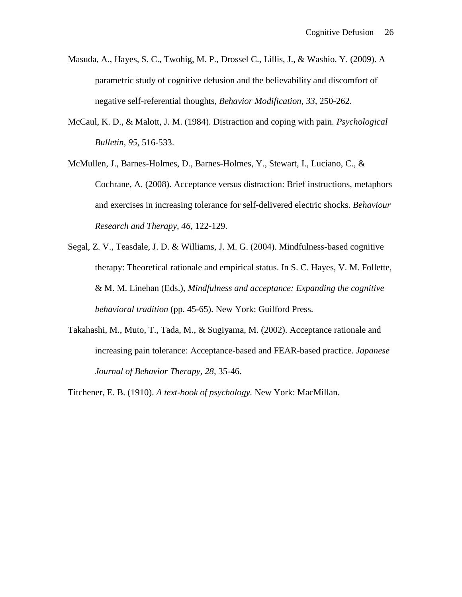- Masuda, A., Hayes, S. C., Twohig, M. P., Drossel C., Lillis, J., & Washio, Y. (2009). A parametric study of cognitive defusion and the believability and discomfort of negative self-referential thoughts, *Behavior Modification, 33,* 250-262.
- McCaul, K. D., & Malott, J. M. (1984). Distraction and coping with pain. *Psychological Bulletin, 95,* 516-533.
- McMullen, J., Barnes-Holmes, D., Barnes-Holmes, Y., Stewart, I., Luciano, C., & Cochrane, A. (2008). Acceptance versus distraction: Brief instructions, metaphors and exercises in increasing tolerance for self-delivered electric shocks. *Behaviour Research and Therapy, 46,* 122-129.
- Segal, Z. V., Teasdale, J. D. & Williams, J. M. G. (2004). Mindfulness-based cognitive therapy: Theoretical rationale and empirical status. In S. C. Hayes, V. M. Follette, & M. M. Linehan (Eds.), *Mindfulness and acceptance: Expanding the cognitive behavioral tradition* (pp. 45-65). New York: Guilford Press.
- Takahashi, M., Muto, T., Tada, M., & Sugiyama, M. (2002). Acceptance rationale and increasing pain tolerance: Acceptance-based and FEAR-based practice. *Japanese Journal of Behavior Therapy, 28,* 35-46.

Titchener, E. B. (1910). *A text-book of psychology.* New York: MacMillan.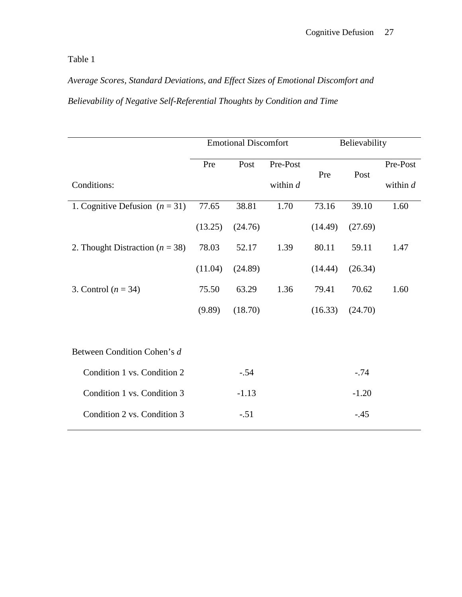Table 1

*Average Scores, Standard Deviations, and Effect Sizes of Emotional Discomfort and Believability of Negative Self-Referential Thoughts by Condition and Time*

|                                     |         | <b>Emotional Discomfort</b> |            | Believability |         |            |  |
|-------------------------------------|---------|-----------------------------|------------|---------------|---------|------------|--|
|                                     | Pre     | Post                        | Pre-Post   | Pre           | Post    | Pre-Post   |  |
| Conditions:                         |         |                             | within $d$ |               |         | within $d$ |  |
| 1. Cognitive Defusion $(n = 31)$    | 77.65   | 38.81                       | 1.70       | 73.16         | 39.10   | 1.60       |  |
|                                     | (13.25) | (24.76)                     |            | (14.49)       | (27.69) |            |  |
| 2. Thought Distraction ( $n = 38$ ) | 78.03   | 52.17                       | 1.39       | 80.11         | 59.11   | 1.47       |  |
|                                     | (11.04) | (24.89)                     |            | (14.44)       | (26.34) |            |  |
| 3. Control $(n = 34)$               | 75.50   | 63.29                       | 1.36       | 79.41         | 70.62   | 1.60       |  |
|                                     | (9.89)  | (18.70)                     |            | (16.33)       | (24.70) |            |  |
|                                     |         |                             |            |               |         |            |  |
| Between Condition Cohen's d         |         |                             |            |               |         |            |  |
| Condition 1 vs. Condition 2         |         | $-.54$                      |            |               | $-.74$  |            |  |
| Condition 1 vs. Condition 3         |         | $-1.13$                     |            | $-1.20$       |         |            |  |
| Condition 2 vs. Condition 3         |         | $-.51$                      |            |               | $-45$   |            |  |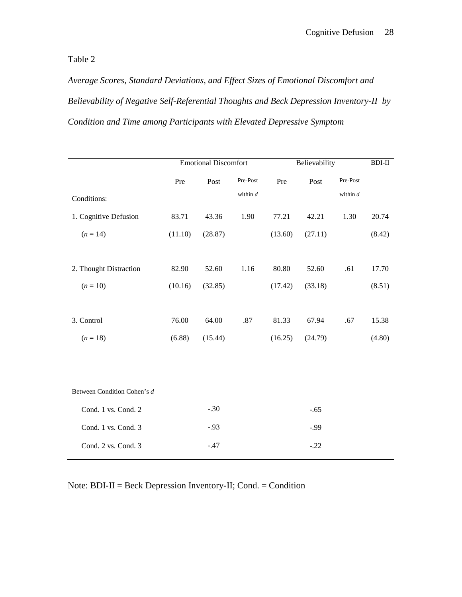Table 2

*Average Scores, Standard Deviations, and Effect Sizes of Emotional Discomfort and Believability of Negative Self-Referential Thoughts and Beck Depression Inventory-II by Condition and Time among Participants with Elevated Depressive Symptom*

|                             | <b>Emotional Discomfort</b> |         |            | Believability |         |            | $BDI-II$ |
|-----------------------------|-----------------------------|---------|------------|---------------|---------|------------|----------|
|                             | Pre                         | Post    | Pre-Post   | Pre           | Post    | Pre-Post   |          |
| Conditions:                 |                             |         | within $d$ |               |         | within $d$ |          |
| 1. Cognitive Defusion       | 83.71                       | 43.36   | 1.90       | 77.21         | 42.21   | 1.30       | 20.74    |
| $(n = 14)$                  | (11.10)                     | (28.87) |            | (13.60)       | (27.11) |            | (8.42)   |
|                             |                             |         |            |               |         |            |          |
| 2. Thought Distraction      | 82.90                       | 52.60   | 1.16       | 80.80         | 52.60   | .61        | 17.70    |
| $(n = 10)$                  | (10.16)                     | (32.85) |            | (17.42)       | (33.18) |            | (8.51)   |
|                             |                             |         |            |               |         |            |          |
| 3. Control                  | 76.00                       | 64.00   | .87        | 81.33         | 67.94   | .67        | 15.38    |
| $(n = 18)$                  | (6.88)                      | (15.44) |            | (16.25)       | (24.79) |            | (4.80)   |
|                             |                             |         |            |               |         |            |          |
|                             |                             |         |            |               |         |            |          |
| Between Condition Cohen's d |                             |         |            |               |         |            |          |
| Cond. 1 vs. Cond. 2         |                             | $-.30$  |            |               | $-.65$  |            |          |
| Cond. 1 vs. Cond. 3         |                             | $-.93$  |            |               | $-0.99$ |            |          |
| Cond. 2 vs. Cond. 3         |                             | $-.47$  |            |               | $-.22$  |            |          |

Note: BDI-II = Beck Depression Inventory-II; Cond. = Condition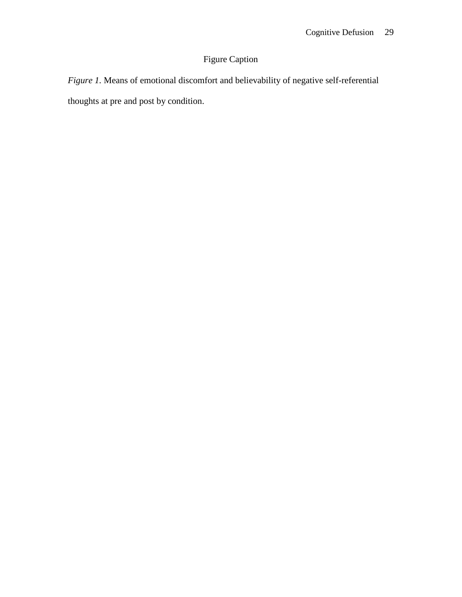# Figure Caption

*Figure 1.* Means of emotional discomfort and believability of negative self-referential thoughts at pre and post by condition.